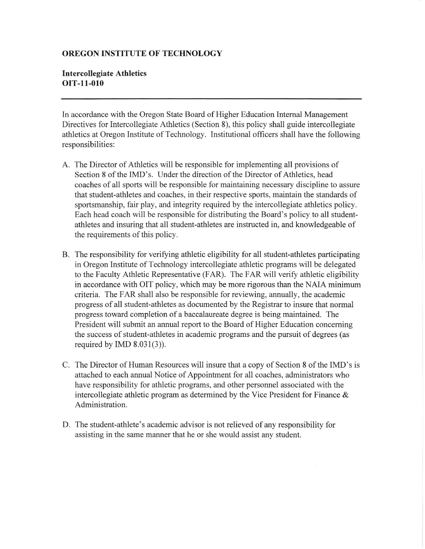## OREGON INSTITUTE OF TECHNOLOGY

## Intercollegiate Athletics oIT-11-010

In accordance with the Oregon State Board of Higher Education Intemal Management Directives for Intercollegiate Athletics (Section 8), this policy shall guide intercollegiate athletics at Oregon Institute of Technology. lnstitutional officers shall have the following responsibilities:

- A. The Director of Athletics will be responsible for implementing all provisions of Section 8 of the IMD's. Under the direction of the Director of Athletics, head coaches of all sports will be responsible for maintaining necessary discipline to assue that student-athletes and coaches, in their respective sports, maintain the standards of sportsmanship, fair play, and integrity required by the intercollegiate athletics policy. Each head coach will be responsible for distributing the Board's policy to all studentathletes and insuring that all student-athletes are instructed in, and knowledgeable of the requirements of this policy.
- B. The responsibility for verifring athletic eligibility for all student-athletes participating in Oregon Institute of Technology intercollegiate athletic programs will be delegated to the Faculty Athletic Representative (FAR). The FAR will verify athletic eligibility in accordance with OIT policy, which may be more rigorous than the NAIA minimum criteria. The FAR shall also be responsible for reviewing, annually, the academic progress of all student-athletes as documented by the Registrar to insure that normal progress toward completion of a baccalaureate degree is being maintained. The President will submit an annual report to the Board of Higher Education concerning the success of student-athletes in academic programs and the pursuit of degrees (as required by IMD  $8.031(3)$ ).
- C. The Director of Human Resources will insure that a copy of Section 8 of the IMD's is attached to each annual Notice of Appointment for all coaches, administrators who have responsibility for athletic programs, and other personnel associated with the intercollegiate athletic program as determined by the Vice President for Finance  $\&$ Administration.
- D. The student-athlete's academic advisor is not relieved of any responsibility for assisting in the same manner that he or she would assist any student.